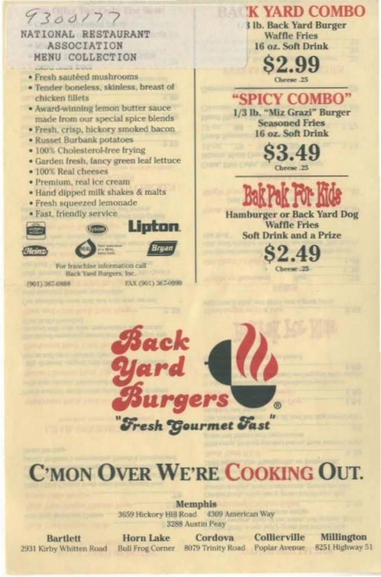## 9300177

NATIONAL RESTAURANT ASSOCIATION MENU COLLECTION

- · Fresh sautéed mushrooms
- · Tender boneless, skinless, breast of chicken fillets
- · Award-winning lemon butter sauce made from our special spice blends
- · Fresh, crisp, hickory smoked bacon.
- · Russet Burbank potatoes
- · 100% Cholesterol-free frying
- · Garden fresh, fancy green leaf lettuce
- 100% Real cheeses
- · Premium, real ice cream
- · Hand dipped milk shakes & malts
- · Fresh squeezed lemonade
- · Fast, friendly service









For franchise information call Back Yard Burgers, Inc.

(901) 367-0888

ruar

FAX (901) 367-0999

**K YARD COMBO** 

3 lb. Back Yard Burger **Waffle Fries** 16 oz. Soft Drink

> $\alpha$   $\alpha$ **HOUL** Cheese .25

"SPICY COMBO" 1/3 lb. "Miz Grazi" Burger **Seasoned Fries** 16 oz. Soft Drink

Cheese .25



**Hamburger or Back Yard Dog Waffle Fries Soft Drink and a Prize** 



# **C'MON OVER WE'RE COOKING OUT.**

Memphis 3659 Hickory Hill Road 4309 American Way 3288 Austin Peay

**Bartlett** 2931 Kirby Whitten Road

**Horn Lake** Bull Frog Corner 8079 Trinity Road

Cordova

Collierville Poplar Avenue

Millington 8251 Highway 51